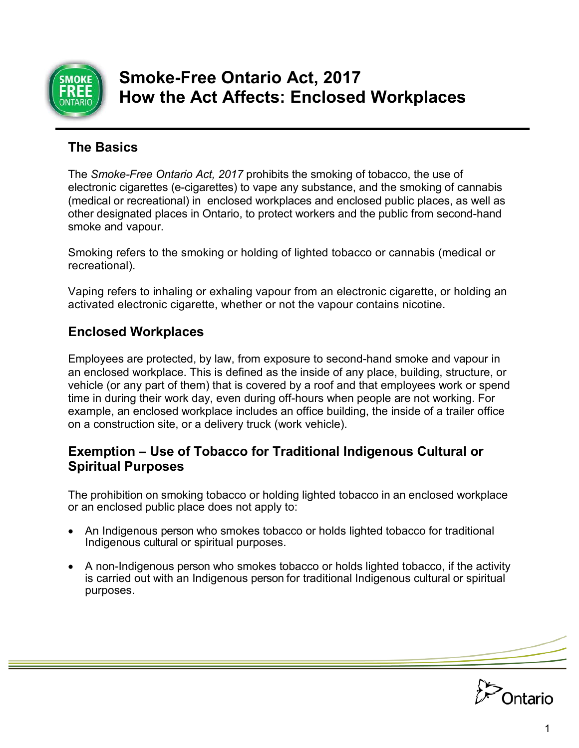

# **Smoke-Free Ontario Act, 2017 How the Act Affects: Enclosed Workplaces**

# **The Basics**

The *Smoke-Free Ontario Act, 2017* prohibits the smoking of tobacco, the use of electronic cigarettes (e-cigarettes) to vape any substance, and the smoking of cannabis (medical or recreational) in enclosed workplaces and enclosed public places, as well as other designated places in Ontario, to protect workers and the public from second-hand smoke and vapour.

Smoking refers to the smoking or holding of lighted tobacco or cannabis (medical or recreational).

Vaping refers to inhaling or exhaling vapour from an electronic cigarette, or holding an activated electronic cigarette, whether or not the vapour contains nicotine.

# **Enclosed Workplaces**

Employees are protected, by law, from exposure to second-hand smoke and vapour in an enclosed workplace. This is defined as the inside of any place, building, structure, or vehicle (or any part of them) that is covered by a roof and that employees work or spend time in during their work day, even during off-hours when people are not working. For example, an enclosed workplace includes an office building, the inside of a trailer office on a construction site, or a delivery truck (work vehicle).

## **Exemption – Use of Tobacco for Traditional Indigenous Cultural or Spiritual Purposes**

The prohibition on smoking tobacco or holding lighted tobacco in an enclosed workplace or an enclosed public place does not apply to:

- An Indigenous person who smokes tobacco or holds lighted tobacco for traditional Indigenous cultural or spiritual purposes.
- A non-Indigenous person who smokes tobacco or holds lighted tobacco, if the activity is carried out with an Indigenous person for traditional Indigenous cultural or spiritual purposes.

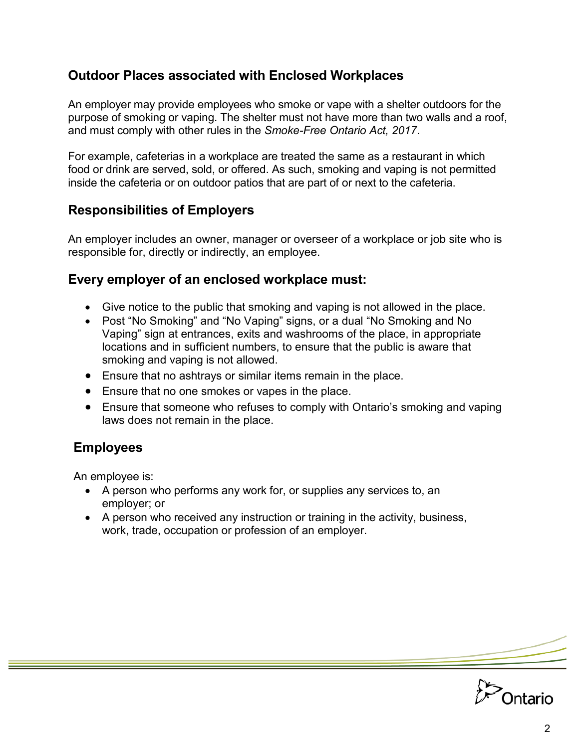## **Outdoor Places associated with Enclosed Workplaces**

 and must comply with other rules in the *Smoke-Free Ontario Act, 2017*. An employer may provide employees who smoke or vape with a shelter outdoors for the purpose of smoking or vaping. The shelter must not have more than two walls and a roof,

For example, cafeterias in a workplace are treated the same as a restaurant in which food or drink are served, sold, or offered. As such, smoking and vaping is not permitted inside the cafeteria or on outdoor patios that are part of or next to the cafeteria.

## **Responsibilities of Employers**

An employer includes an owner, manager or overseer of a workplace or job site who is responsible for, directly or indirectly, an employee.

#### **Every employer of an enclosed workplace must:**

- Give notice to the public that smoking and vaping is not allowed in the place.
- Post "No Smoking" and "No Vaping" signs, or a dual "No Smoking and No Vaping" sign at entrances, exits and washrooms of the place, in appropriate locations and in sufficient numbers, to ensure that the public is aware that smoking and vaping is not allowed.
- Ensure that no ashtrays or similar items remain in the place.
- Ensure that no one smokes or vapes in the place.
- Ensure that someone who refuses to comply with Ontario's smoking and vaping laws does not remain in the place.

# **Employees**

An employee is:

- A person who performs any work for, or supplies any services to, an employer; or
- A person who received any instruction or training in the activity, business, work, trade, occupation or profession of an employer.

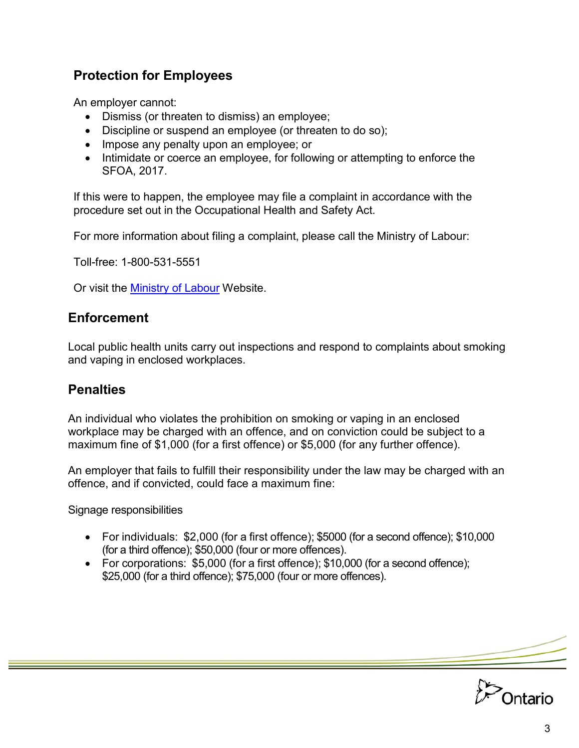# **Protection for Employees**

An employer cannot:

- Dismiss (or threaten to dismiss) an employee;
- Discipline or suspend an employee (or threaten to do so);
- Impose any penalty upon an employee; or
- Intimidate or coerce an employee, for following or attempting to enforce the SFOA, 2017.

If this were to happen, the employee may file a complaint in accordance with the procedure set out in the Occupational Health and Safety Act.

For more information about filing a complaint, please call the Ministry of Labour:

Toll-free: 1-800-531-5551

Or visit the <u>Ministry of Labour</u> Website.

#### **Enforcement**

Local public health units carry out inspections and respond to complaints about smoking and vaping in enclosed workplaces.

## **Penalties**

An individual who violates the prohibition on smoking or vaping in an enclosed workplace may be charged with an offence, and on conviction could be subject to a maximum fine of \$1,000 (for a first offence) or \$5,000 (for any further offence).

An employer that fails to fulfill their responsibility under the law may be charged with an offence, and if convicted, could face a maximum fine:

Signage responsibilities

- For individuals: \$2,000 (for a first offence); \$5000 (for a second offence); \$10,000 (for a third offence); \$50,000 (four or more offences).
- For corporations: \$5,000 (for a first offence); \$10,000 (for a second offence); \$25,000 (for a third offence); \$75,000 (four or more offences).